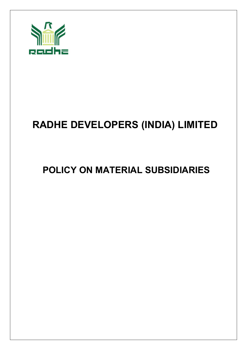

# **RADHE DEVELOPERS (INDIA) LIMITED**

## **POLICY ON MATERIAL SUBSIDIARIES**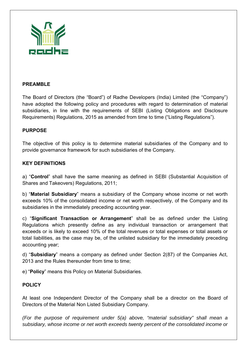

#### **PREAMBLE**

The Board of Directors (the "Board") of Radhe Developers (India) Limited (the "Company") have adopted the following policy and procedures with regard to determination of material subsidiaries, in line with the requirements of SEBI (Listing Obligations and Disclosure Requirements) Regulations, 2015 as amended from time to time ("Listing Regulations").

#### **PURPOSE**

The objective of this policy is to determine material subsidiaries of the Company and to provide governance framework for such subsidiaries of the Company.

#### **KEY DEFINITIONS**

a) "**Control**" shall have the same meaning as defined in SEBI (Substantial Acquisition of Shares and Takeovers) Regulations, 2011;

b) "**Material Subsidiary**" means a subsidiary of the Company whose income or net worth exceeds 10% of the consolidated income or net worth respectively, of the Company and its subsidiaries in the immediately preceding accounting year.

c) "**Significant Transaction or Arrangement**" shall be as defined under the Listing Regulations which presently define as any individual transaction or arrangement that exceeds or is likely to exceed 10% of the total revenues or total expenses or total assets or total liabilities, as the case may be, of the unlisted subsidiary for the immediately preceding accounting year;

d) "**Subsidiary**" means a company as defined under Section 2(87) of the Companies Act, 2013 and the Rules thereunder from time to time;

e) "**Policy**" means this Policy on Material Subsidiaries.

#### **POLICY**

At least one Independent Director of the Company shall be a director on the Board of Directors of the Material Non Listed Subsidiary Company.

*(For the purpose of requirement under 5(a) above, "material subsidiary" shall mean a subsidiary, whose income or net worth exceeds twenty percent of the consolidated income or*